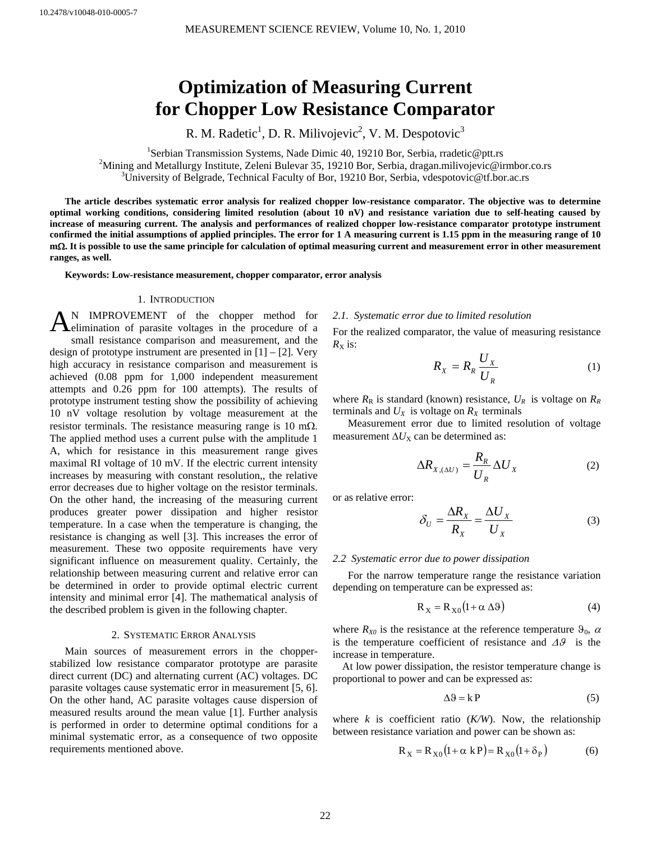# **Optimization of Measuring Current for Chopper Low Resistance Comparator**

R. M. Radetic<sup>1</sup>, D. R. Milivojevic<sup>2</sup>, V. M. Despotovic<sup>3</sup>

<sup>1</sup>Serbian Transmission Systems, Nade Dimic 40, 19210 Bor, Serbia, rradetic@ptt.rs<sup>2</sup>Mining and Metallurgy Institute Zalani Bulayer <sup>25, 10210</sub> Bor, Serbia, dregen militaiquia@in</sup> <sup>2</sup>Mining and Metallurgy Institute, Zeleni Bulevar 35, 19210 Bor, Serbia, dragan.milivojevic@irmbor.co.rs <sup>3</sup>University of Belgrade, Technical Faculty of Bor, 19210 Bor, Serbia, vdespotovic@tf.bor.ac.rs

**The article describes systematic error analysis for realized chopper low-resistance comparator. The objective was to determine optimal working conditions, considering limited resolution (about 10 nV) and resistance variation due to self-heating caused by increase of measuring current. The analysis and performances of realized chopper low-resistance comparator prototype instrument confirmed the initial assumptions of applied principles. The error for 1 A measuring current is 1.15 ppm in the measuring range of 10 m**Ω**. It is possible to use the same principle for calculation of optimal measuring current and measurement error in other measurement ranges, as well.** 

**Keywords: Low-resistance measurement, chopper comparator, error analysis** 

#### 1. INTRODUCTION

N IMPROVEMENT of the chopper method for AN IMPROVEMENT of the chopper method for delimination of parasite voltages in the procedure of a small resistance comparison and measurement, and the design of prototype instrument are presented in [1] – [2]. Very high accuracy in resistance comparison and measurement is achieved (0.08 ppm for 1,000 independent measurement attempts and 0.26 ppm for 100 attempts). The results of prototype instrument testing show the possibility of achieving 10 nV voltage resolution by voltage measurement at the resistor terminals. The resistance measuring range is 10 m $\Omega$ . The applied method uses a current pulse with the amplitude 1 A, which for resistance in this measurement range gives maximal RI voltage of 10 mV. If the electric current intensity increases by measuring with constant resolution,, the relative error decreases due to higher voltage on the resistor terminals. On the other hand, the increasing of the measuring current produces greater power dissipation and higher resistor temperature. In a case when the temperature is changing, the resistance is changing as well [3]. This increases the error of measurement. These two opposite requirements have very significant influence on measurement quality. Certainly, the relationship between measuring current and relative error can be determined in order to provide optimal electric current intensity and minimal error [4]. The mathematical analysis of the described problem is given in the following chapter.

#### 2. SYSTEMATIC ERROR ANALYSIS

Main sources of measurement errors in the chopperstabilized low resistance comparator prototype are parasite direct current (DC) and alternating current (AC) voltages. DC parasite voltages cause systematic error in measurement [5, 6]. On the other hand, AC parasite voltages cause dispersion of measured results around the mean value [1]. Further analysis is performed in order to determine optimal conditions for a minimal systematic error, as a consequence of two opposite requirements mentioned above.

## *2.1. Systematic error due to limited resolution*

For the realized comparator, the value of measuring resistance  $R_X$  is:

$$
R_{X} = R_{R} \frac{U_{X}}{U_{R}}
$$
 (1)

where  $R_R$  is standard (known) resistance,  $U_R$  is voltage on  $R_R$ terminals and  $U_X$  is voltage on  $R_X$  terminals

Measurement error due to limited resolution of voltage measurement  $\Delta U_X$  can be determined as:

$$
\Delta R_{X,(\Delta U)} = \frac{R_R}{U_R} \Delta U_X \tag{2}
$$

or as relative error:

$$
\delta_U = \frac{\Delta R_X}{R_X} = \frac{\Delta U_X}{U_X} \tag{3}
$$

#### *2.2 Systematic error due to power dissipation*

For the narrow temperature range the resistance variation depending on temperature can be expressed as:

$$
R_X = R_{X0}(1 + \alpha \Delta \vartheta) \tag{4}
$$

where  $R_{X0}$  is the resistance at the reference temperature  $\vartheta_0$ ,  $\alpha$ is the temperature coefficient of resistance and Δϑis the increase in temperature.

 At low power dissipation, the resistor temperature change is proportional to power and can be expressed as:

$$
\Delta \vartheta = k \, P \tag{5}
$$

where  $k$  is coefficient ratio  $(K/W)$ . Now, the relationship between resistance variation and power can be shown as:

$$
R_X = R_{X0}(1 + \alpha kP) = R_{X0}(1 + \delta_P)
$$
 (6)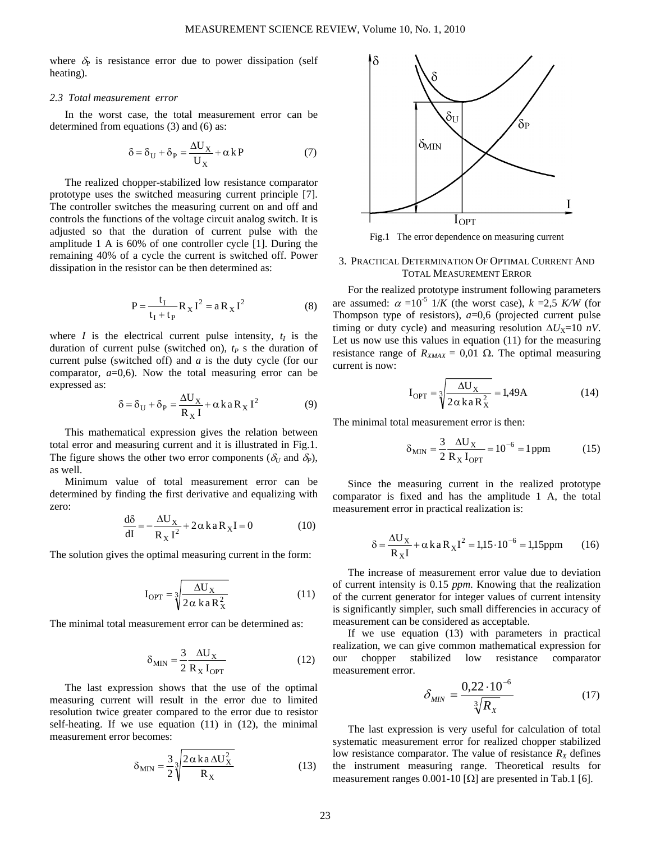where  $\delta_P$  is resistance error due to power dissipation (self heating).

### *2.3 Total measurement error*

In the worst case, the total measurement error can be determined from equations (3) and (6) as:

$$
\delta = \delta_{\mathbf{U}} + \delta_{\mathbf{P}} = \frac{\Delta \mathbf{U}_{\mathbf{X}}}{\mathbf{U}_{\mathbf{X}}} + \alpha \mathbf{k} \mathbf{P}
$$
 (7)

The realized chopper-stabilized low resistance comparator prototype uses the switched measuring current principle [7]. The controller switches the measuring current on and off and controls the functions of the voltage circuit analog switch. It is adjusted so that the duration of current pulse with the amplitude 1 A is 60% of one controller cycle [1]. During the remaining 40% of a cycle the current is switched off. Power dissipation in the resistor can be then determined as:

$$
P = \frac{t_I}{t_I + t_P} R_X I^2 = a R_X I^2
$$
 (8)

where *I* is the electrical current pulse intensity,  $t<sub>I</sub>$  is the duration of current pulse (switched on),  $t_P$  s the duration of current pulse (switched off) and *a* is the duty cycle (for our comparator,  $a=0,6$ ). Now the total measuring error can be expressed as:

$$
\delta = \delta_{\rm U} + \delta_{\rm P} = \frac{\Delta U_{\rm X}}{R_{\rm X} I} + \alpha \, k \, a \, R_{\rm X} I^2 \tag{9}
$$

This mathematical expression gives the relation between total error and measuring current and it is illustrated in Fig.1. The figure shows the other two error components ( $\delta_U$  and  $\delta_P$ ), as well.

Minimum value of total measurement error can be determined by finding the first derivative and equalizing with zero:

$$
\frac{d\delta}{dI} = -\frac{\Delta U_X}{R_X I^2} + 2\alpha k a R_X I = 0
$$
 (10)

The solution gives the optimal measuring current in the form:

$$
I_{\text{OPT}} = \sqrt[3]{\frac{\Delta U_X}{2\alpha \text{ ka} R_X^2}}
$$
(11)

The minimal total measurement error can be determined as:

$$
\delta_{\text{MIN}} = \frac{3}{2} \frac{\Delta U_X}{R_X I_{\text{OPT}}} \tag{12}
$$

The last expression shows that the use of the optimal measuring current will result in the error due to limited resolution twice greater compared to the error due to resistor self-heating. If we use equation (11) in (12), the minimal measurement error becomes:

$$
\delta_{\text{MIN}} = \frac{3}{2} \sqrt[3]{\frac{2 \alpha \, \text{ka} \, \Delta U_X^2}{R_X}} \tag{13}
$$



Fig.1 The error dependence on measuring current

# 3. PRACTICAL DETERMINATION OF OPTIMAL CURRENT AND TOTAL MEASUREMENT ERROR

For the realized prototype instrument following parameters are assumed:  $\alpha = 10^{-5}$  1/*K* (the worst case),  $k = 2.5$  *K/W* (for Thompson type of resistors), *a*=0,6 (projected current pulse timing or duty cycle) and measuring resolution  $\Delta U_{\text{X}}=10 \text{ nV}$ . Let us now use this values in equation (11) for the measuring resistance range of  $R_{XMAX} = 0.01 \Omega$ . The optimal measuring current is now:

$$
I_{\text{OPT}} = \sqrt[3]{\frac{\Delta U_X}{2 \alpha k a R_X^2}} = 1,49 \text{A}
$$
 (14)

The minimal total measurement error is then:

$$
\delta_{\text{MIN}} = \frac{3}{2} \frac{\Delta U_X}{R_X I_{\text{OPT}}} = 10^{-6} = 1 \,\text{ppm} \tag{15}
$$

Since the measuring current in the realized prototype comparator is fixed and has the amplitude 1 A, the total measurement error in practical realization is:

$$
\delta = \frac{\Delta U_X}{R_X I} + \alpha k a R_X I^2 = 1.15 \cdot 10^{-6} = 1.15 \text{ppm}
$$
 (16)

The increase of measurement error value due to deviation of current intensity is 0.15 *ppm*. Knowing that the realization of the current generator for integer values of current intensity is significantly simpler, such small differencies in accuracy of measurement can be considered as acceptable.

If we use equation (13) with parameters in practical realization, we can give common mathematical expression for our chopper stabilized low resistance comparator measurement error.

$$
\delta_{MIN} = \frac{0.22 \cdot 10^{-6}}{\sqrt[3]{R_X}}
$$
 (17)

The last expression is very useful for calculation of total systematic measurement error for realized chopper stabilized low resistance comparator. The value of resistance  $R_X$  defines the instrument measuring range. Theoretical results for measurement ranges 0.001-10 [ $\Omega$ ] are presented in Tab.1 [6].